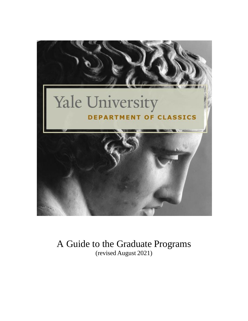

A Guide to the Graduate Programs (revised August 2021)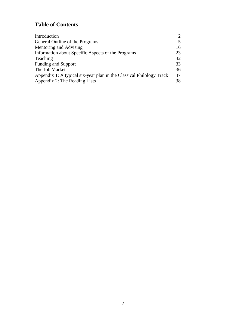# **Table of Contents**

| Introduction                                                         | $\mathcal{D}_{\cdot}$ |
|----------------------------------------------------------------------|-----------------------|
| General Outline of the Programs                                      | 5                     |
| Mentoring and Advising                                               | 16                    |
| Information about Specific Aspects of the Programs                   | 23                    |
| Teaching                                                             | 32                    |
| <b>Funding and Support</b>                                           | 33                    |
| The Job Market                                                       | 36                    |
| Appendix 1: A typical six-year plan in the Classical Philology Track | 37                    |
| Appendix 2: The Reading Lists                                        | 38                    |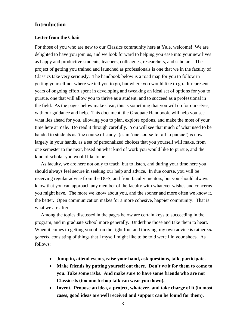## **Introduction**

#### **Letter from the Chair**

For those of you who are new to our Classics community here at Yale, welcome! We are delighted to have you join us, and we look forward to helping you ease into your new lives as happy and productive students, teachers, colleagues, researchers, and scholars. The project of getting you trained and launched as professionals is one that we in the faculty of Classics take very seriously. The handbook below is a road map for you to follow in getting yourself not where we tell you to go, but where you would like to go. It represents years of ongoing effort spent in developing and tweaking an ideal set of options for you to pursue, one that will allow you to thrive as a student, and to succeed as a professional in the field. As the pages below make clear, this is something that you will do for ourselves, with our guidance and help. This document, the Graduate Handbook, will help you see what lies ahead for you, allowing you to plan, explore options, and make the most of your time here at Yale. Do read it through carefully. You will see that much of what used to be handed to students as 'the course of study' (as in 'one course for all to pursue') is now largely in your hands, as a set of personalized choices that you yourself will make, from one semester to the next, based on what kind of work you would like to pursue, and the kind of scholar you would like to be.

 As faculty, we are here not only to teach, but to listen, and during your time here you should always feel secure in seeking our help and advice. In due course, you will be receiving regular advice from the DGS, and from faculty mentors, but you should always know that you can approach any member of the faculty with whatever wishes and concerns you might have. The more we know about you, and the sooner and more often we know it, the better. Open communication makes for a more cohesive, happier community. That is what we are after.

 Among the topics discussed in the pages below are certain keys to succeeding in the program, and in graduate school more generally. Underline those and take them to heart. When it comes to getting you off on the right foot and thriving, my own advice is rather *sui generis*, consisting of things that I myself might like to be told were I in your shoes. As follows:

- **Jump in, attend events, raise your hand, ask questions, talk, participate.**
- **Make friends by putting yourself out there. Don't wait for them to come to you. Take some risks. And make sure to have some friends who are not Classicists (too much shop talk can wear you down).**
- **Invent. Propose an idea, a project, whatever, and take charge of it (in most cases, good ideas are well received and support can be found for them).**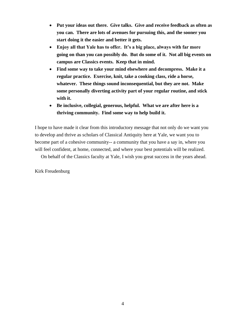- **Put your ideas out there. Give talks. Give and receive feedback as often as you can. There are lots of avenues for pursuing this, and the sooner you start doing it the easier and better it gets.**
- **Enjoy all that Yale has to offer. It's a big place, always with far more going on than you can possibly do. But do some of it. Not all big events on campus are Classics events. Keep that in mind.**
- **Find some way to take your mind elsewhere and decompress. Make it a regular practice. Exercise, knit, take a cooking class, ride a horse, whatever. These things sound inconsequential, but they are not. Make some personally diverting activity part of your regular routine, and stick with it.**
- **Be inclusive, collegial, generous, helpful. What we are after here is a thriving community. Find some way to help build it.**

I hope to have made it clear from this introductory message that not only do we want you to develop and thrive as scholars of Classical Antiquity here at Yale, we want you to become part of a cohesive community-- a community that you have a say in, where you will feel confident, at home, connected, and where your best potentials will be realized.

On behalf of the Classics faculty at Yale, I wish you great success in the years ahead.

Kirk Freudenburg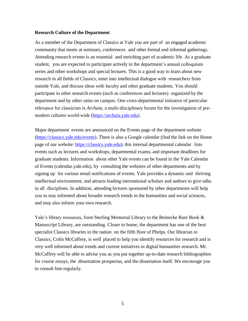#### **Research Culture of the Department**

As a member of the Department of Classics at Yale you are part of an engaged academic community that meets at seminars, conferences and other formal and informal gatherings. Attending research events is an essential and enriching part of academic life. As a graduate student, you are expected to participate actively in the department's annual colloquium series and other workshops and special lectures. This is a good way to learn about new research in all fields of Classics, enter into intellectual dialogue with researchers from outside Yale, and discuss ideas with faculty and other graduate students. You should participate in other research events (such as conferences and lectures) organized by the department and by other units on campus. One cross-departmental initiative of particular relevance for classicists is *Archaia*, a multi-disciplinary forum for the investigation of pre-modern cultures world-wide [\(https://archaia.yale.edu\)](https://archaia.yale.edu/).

Major department events are announced on the Events page of the department website (https://classics.yale.edu/events). There is also a Google calendar (find the link on the Home page of our website: [https://classics.yale.edu\)](https://classics.yale.edu/); this internal departmental calendar lists events such as lectures and workshops, departmental exams, and important deadlines for graduate students. Information about other Yale events can be found in the Yale Calendar of Events (calendar.yale.edu), by consulting the websites of other departments and by signing up for various email notifications of events. Yale provides a dynamic and thriving intellectual environment, and attracts leading international scholars and authors to give talks in all disciplines. In addition, attending lectures sponsored by other departments will help you to stay informed about broader research trends in the humanities and social sciences, and may also inform your own research.

Yale's library resources, from Sterling Memorial Library to the Beinecke Rare Book & Manuscript Library, are outstanding. Closer to home, the department has one of the best specialist Classics libraries in the nation on the fifth floor of Phelps. Our librarian in Classics, Colin McCaffrey, is well placed to help you identify resources for research and is very well informed about trends and current initiatives in digital humanities research. Mr. McCaffrey will be able to advise you as you put together up-to-date research bibliographies for course essays, the dissertation prospectus, and the dissertation itself. We encourage you to consult him regularly.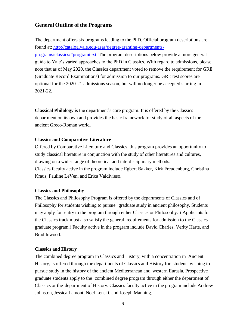## **General Outline of the Programs**

The department offers six programs leading to the PhD. Official program descriptions are found at: [http://catalog.yale.edu/gsas/degree-granting-departments](http://catalog.yale.edu/gsas/degree-granting-departments-programs/classics/#programtext)[programs/classics/#programtext.](http://catalog.yale.edu/gsas/degree-granting-departments-programs/classics/#programtext) The program descriptions below provide a more general guide to Yale's varied approaches to the PhD in Classics. With regard to admissions, please note that as of May 2020, the Classics department voted to remove the requirement for GRE (Graduate Record Examinations) for admission to our programs. GRE test scores are optional for the 2020-21 admissions season, but will no longer be accepted starting in 2021-22.

**Classical Philology** is the department's core program. It is offered by the Classics department on its own and provides the basic framework for study of all aspects of the ancient Greco-Roman world.

## **Classics and Comparative Literature**

Offered by Comparative Literature and Classics, this program provides an opportunity to study classical literature in conjunction with the study of other literatures and cultures, drawing on a wider range of theoretical and interdisciplinary methods. Classics faculty active in the program include Egbert Bakker, Kirk Freudenburg, Christina Kraus, Pauline LeVen, and Erica Valdivieso.

## **Classics and Philosophy**

The Classics and Philosophy Program is offered by the departments of Classics and of Philosophy for students wishing to pursue graduate study in ancient philosophy. Students may apply for entry to the program through either Classics or Philosophy. ( Applicants for the Classics track must also satisfy the general requirements for admission to the Classics graduate program.) Faculty active in the program include David Charles, Verity Harte, and Brad Inwood.

## **Classics and History**

The combined degree program in Classics and History, with a concentration in Ancient History, is offered through the departments of Classics and History for students wishing to pursue study in the history of the ancient Mediterranean and western Eurasia. Prospective graduate students apply to the combined degree program through either the department of Classics or the department of History. Classics faculty active in the program include Andrew Johnston, Jessica Lamont, Noel Lenski, and Joseph Manning.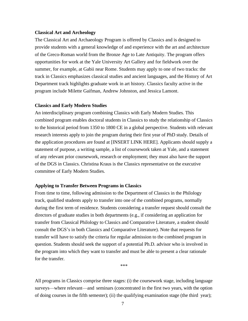### **Classical Art and Archeology**

The Classical Art and Archaeology Program is offered by Classics and is designed to provide students with a general knowledge of and experience with the art and architecture of the Greco-Roman world from the Bronze Age to Late Antiquity. The program offers opportunities for work at the Yale University Art Gallery and for fieldwork over the summer, for example, at Gabii near Rome. Students may apply to one of two tracks: the track in Classics emphasizes classical studies and ancient languages, and the History of Art Department track highlights graduate work in art history. Classics faculty active in the program include Milette Gaifman, Andrew Johnston, and Jessica Lamont.

### **Classics and Early Modern Studies**

An interdisciplinary program combining Classics with Early Modern Studies. This combined program enables doctoral students in Classics to study the relationship of Classics to the historical period from 1350 to 1800 CE in a global perspective. Students with relevant research interests apply to join the program during their first year of PhD study. Details of the application procedures are found at [INSERT LINK HERE]. Applicants should supply a statement of purpose, a writing sample, a list of coursework taken at Yale, and a statement of any relevant prior coursework, research or employment; they must also have the support of the DGS in Classics. Christina Kraus is the Classics representative on the executive committee of Early Modern Studies.

#### **Applying to Transfer Between Programs in Classics**

From time to time, following admission to the Department of Classics in the Philology track, qualified students apply to transfer into one of the combined programs, normally during the first term of residence. Students considering a transfer request should consult the directors of graduate studies in both departments (e.g., if considering an application for transfer from Classical Philology to Classics and Comparative Literature, a student should consult the DGS's in both Classics and Comparative Literature). Note that requests for transfer will have to satisfy the criteria for regular admission to the combined program in question. Students should seek the support of a potential Ph.D. advisor who is involved in the program into which they want to transfer and must be able to present a clear rationale for the transfer.

\*\*\*

All programs in Classics comprise three stages: (i) the coursework stage, including language surveys—where relevant—and seminars (concentrated in the first two years, with the option of doing courses in the fifth semester); (ii) the qualifying examination stage (the third year);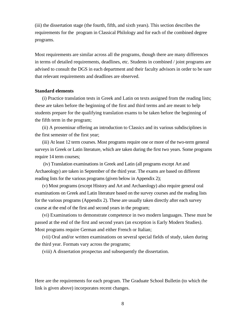(iii) the dissertation stage (the fourth, fifth, and sixth years). This section describes the requirements for the program in Classical Philology and for each of the combined degree programs.

Most requirements are similar across all the programs, though there are many differences in terms of detailed requirements, deadlines, etc. Students in combined / joint programs are advised to consult the DGS in each department and their faculty advisors in order to be sure that relevant requirements and deadlines are observed.

### **Standard elements**

(i) Practice translation tests in Greek and Latin on texts assigned from the reading lists; these are taken before the beginning of the first and third terms and are meant to help students prepare for the qualifying translation exams to be taken before the beginning of the fifth term in the program;

(ii) A proseminar offering an introduction to Classics and its various subdisciplines in the first semester of the first year;

(iii) At least 12 term courses. Most programs require one or more of the two-term general surveys in Greek or Latin literature, which are taken during the first two years. Some programs require 14 term courses;

(iv) Translation examinations in Greek and Latin (all programs except Art and Archaeology) are taken in September of the third year. The exams are based on different reading lists for the various programs (given below in Appendix 2);

(v) Most programs (except History and Art and Archaeology) also require general oral examinations on Greek and Latin literature based on the survey courses and the reading lists for the various programs (Appendix 2). These are usually taken directly after each survey course at the end of the first and second years in the program;

(vi) Examinations to demonstrate competence in two modern languages. These must be passed at the end of the first and second years (an exception is Early Modern Studies). Most programs require German and either French or Italian;

(vii) Oral and/or written examinations on several special fields of study, taken during the third year. Formats vary across the programs;

(viii) A dissertation prospectus and subsequently the dissertation.

Here are the requirements for each program. The Graduate School Bulletin (to which the link is given above) incorporates recent changes.

8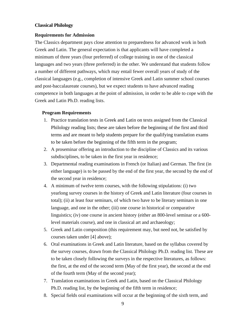## **Classical Philology**

### **Requirements for Admission**

The Classics department pays close attention to preparedness for advanced work in both Greek and Latin. The general expectation is that applicants will have completed a minimum of three years (four preferred) of college training in one of the classical languages and two years (three preferred) in the other. We understand that students follow a number of different pathways, which may entail fewer overall years of study of the classical languages (e.g., completion of intensive Greek and Latin summer school courses and post-baccalaureate courses), but we expect students to have advanced reading competence in both languages at the point of admission, in order to be able to cope with the Greek and Latin Ph.D. reading lists.

### **Program Requirements**

- 1. Practice translation tests in Greek and Latin on texts assigned from the Classical Philology reading lists; these are taken before the beginning of the first and third terms and are meant to help students prepare for the qualifying translation exams to be taken before the beginning of the fifth term in the program;
- 2. A proseminar offering an introduction to the discipline of Classics and its various subdisciplines, to be taken in the first year in residence;
- 3. Departmental reading examinations in French (or Italian) and German. The first (in either language) is to be passed by the end of the first year, the second by the end of the second year in residence;
- 4. A minimum of twelve term courses, with the following stipulations: (i) two yearlong survey courses in the history of Greek and Latin literature (four courses in total); (ii) at least four seminars, of which two have to be literary seminars in one language, and one in the other; (iii) one course in historical or comparative linguistics; (iv) one course in ancient history (either an 800-level seminar or a 600 level materials course), and one in classical art and archaeology;
- 5. Greek and Latin composition (this requirement may, but need not, be satisfied by courses taken under [4] above);
- 6. Oral examinations in Greek and Latin literature, based on the syllabus covered by the survey courses, drawn from the Classical Philology Ph.D. reading list. These are to be taken closely following the surveys in the respective literatures, as follows: the first, at the end of the second term (May of the first year), the second at the end of the fourth term (May of the second year);
- 7. Translation examinations in Greek and Latin, based on the Classical Philology Ph.D. reading list, by the beginning of the fifth term in residence;
- 8. Special fields oral examinations will occur at the beginning of the sixth term, and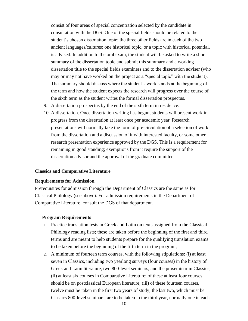consist of four areas of special concentration selected by the candidate in consultation with the DGS. One of the special fields should be related to the student's chosen dissertation topic; the three other fields are in each of the two ancient languages/cultures; one historical topic, or a topic with historical potential, is advised. In addition to the oral exam, the student will be asked to write a short summary of the dissertation topic and submit this summary and a working dissertation title to the special fields examiners and to the dissertation adviser (who may or may not have worked on the project as a "special topic" with the student). The summary should discuss where the student's work stands at the beginning of the term and how the student expects the research will progress over the course of the sixth term as the student writes the formal dissertation prospectus.

- 9. A dissertation prospectus by the end of the sixth term in residence.
- 10. A dissertation. Once dissertation writing has begun, students will present work in progress from the dissertation at least once per academic year. Research presentations will normally take the form of pre-circulation of a selection of work from the dissertation and a discussion of it with interested faculty, or some other research presentation experience approved by the DGS. This is a requirement for remaining in good standing; exemptions from it require the support of the dissertation advisor and the approval of the graduate committee.

#### **Classics and Comparative Literature**

#### **Requirements for Admission**

Prerequisites for admission through the Department of Classics are the same as for Classical Philology (see above). For admission requirements in the Department of Comparative Literature, consult the DGS of that department.

#### **Program Requirements**

- 1. Practice translation tests in Greek and Latin on texts assigned from the Classical Philology reading lists; these are taken before the beginning of the first and third terms and are meant to help students prepare for the qualifying translation exams to be taken before the beginning of the fifth term in the program;
- 2. A minimum of fourteen term courses, with the following stipulations: (i) at least seven in Classics, including two yearlong surveys (four courses) in the history of Greek and Latin literature, two 800-level seminars, and the proseminar in Classics; (ii) at least six courses in Comparative Literature; of these at least four courses should be on postclassical European literature; (iii) of these fourteen courses, twelve must be taken in the first two years of study; the last two, which must be Classics 800-level seminars, are to be taken in the third year, normally one in each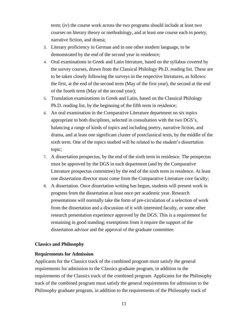term; (iv) the course work across the two programs should include at least two courses on literary theory or methodology, and at least one course each in poetry, narrative fiction, and drama;

- 3. Literary proficiency in German and in one other modern language, to be demonstrated by the end of the second year in residence;
- 4. Oral examinations in Greek and Latin literature, based on the syllabus covered by the survey courses, drawn from the Classical Philology Ph.D. reading list. These are to be taken closely following the surveys in the respective literatures, as follows: the first, at the end of the second term (May of the first year), the second at the end of the fourth term (May of the second year);
- 5. Translation examinations in Greek and Latin, based on the Classical Philology Ph.D. reading list, by the beginning of the fifth term in residence;
- 6. An oral examination in the Comparative Literature department on six topics appropriate to both disciplines, selected in consultation with the two DGS's, balancing a range of kinds of topics and including poetry, narrative fiction, and drama, and at least one significant cluster of postclassical texts, by the middle of the sixth term. One of the topics studied will be related to the student's dissertation topic;
- 7. A dissertation prospectus, by the end of the sixth term in residence. The prospectus must be approved by the DGS in each department (and by the Comparative Literature prospectus committee) by the end of the sixth term in residence. At least one dissertation director must come from the Comparative Literature core faculty;
- 8. A dissertation. Once dissertation writing has begun, students will present work in progress from the dissertation at least once per academic year. Research presentations will normally take the form of pre-circulation of a selection of work from the dissertation and a discussion of it with interested faculty, or some other research presentation experience approved by the DGS. This is a requirement for remaining in good standing; exemptions from it require the support of the dissertation advisor and the approval of the graduate committee.

### **Classics and Philosophy**

#### **Requirements for Admission**

Applicants for the Classics track of the combined program must satisfy the general requirements for admission to the Classics graduate program, in addition to the requirements of the Classics track of the combined program. Applicants for the Philosophy track of the combined program must satisfy the general requirements for admission to the Philosophy graduate program, in addition to the requirements of the Philosophy track of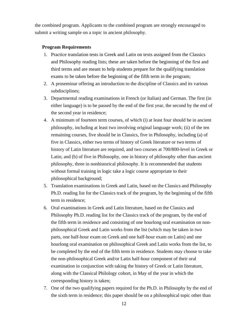the combined program. Applicants to the combined program are strongly encouraged to submit a writing sample on a topic in ancient philosophy.

## **Program Requirements**

- 1. Practice translation tests in Greek and Latin on texts assigned from the Classics and Philosophy reading lists; these are taken before the beginning of the first and third terms and are meant to help students prepare for the qualifying translation exams to be taken before the beginning of the fifth term in the program;
- 2. A proseminar offering an introduction to the discipline of Classics and its various subdisciplines;
- 3. Departmental reading examinations in French (or Italian) and German. The first (in either language) is to be passed by the end of the first year, the second by the end of the second year in residence;
- 4. A minimum of fourteen term courses, of which (i) at least four should be in ancient philosophy, including at least two involving original language work; (ii) of the ten remaining courses, five should be in Classics, five in Philosophy, including (a) of five in Classics, either two terms of history of Greek literature or two terms of history of Latin literature are required, and two courses at 700/800-level in Greek or Latin; and (b) of five in Philosophy, one in history of philosophy other than ancient philosophy, three in nonhistorical philosophy. It is recommended that students without formal training in logic take a logic course appropriate to their philosophical background;
- 5. Translation examinations in Greek and Latin, based on the Classics and Philosophy Ph.D. reading list for the Classics track of the program, by the beginning of the fifth term in residence;
- 6. Oral examinations in Greek and Latin literature, based on the Classics and Philosophy Ph.D. reading list for the Classics track of the program, by the end of the fifth term in residence and consisting of one hourlong oral examination on nonphilosophical Greek and Latin works from the list (which may be taken in two parts, one half-hour exam on Greek and one half-hour exam on Latin) and one hourlong oral examination on philosophical Greek and Latin works from the list, to be completed by the end of the fifth term in residence. Students may choose to take the non-philosophical Greek and/or Latin half-hour component of their oral examination in conjunction with taking the history of Greek or Latin literature, along with the Classical Philology cohort, in May of the year in which the corresponding history is taken;
- 7. One of the two qualifying papers required for the Ph.D. in Philosophy by the end of the sixth term in residence; this paper should be on a philosophical topic other than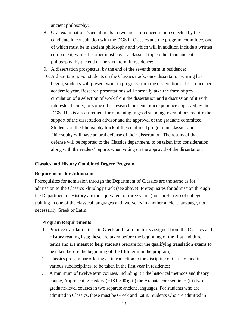ancient philosophy;

- 8. Oral examinations/special fields in two areas of concentration selected by the candidate in consultation with the DGS in Classics and the program committee, one of which must be in ancient philosophy and which will in addition include a written component, while the other must cover a classical topic other than ancient philosophy, by the end of the sixth term in residence;
- 9. A dissertation prospectus, by the end of the seventh term in residence;
- 10. A dissertation. For students on the Classics track: once dissertation writing has begun, students will present work in progress from the dissertation at least once per academic year. Research presentations will normally take the form of precirculation of a selection of work from the dissertation and a discussion of it with interested faculty, or some other research presentation experience approved by the DGS. This is a requirement for remaining in good standing; exemptions require the support of the dissertation advisor and the approval of the graduate committee. Students on the Philosophy track of the combined program in Classics and Philosophy will have an oral defense of their dissertation. The results of that defense will be reported to the Classics department, to be taken into consideration along with the readers' reports when voting on the approval of the dissertation.

#### **Classics and History Combined Degree Program**

### **Requirements for Admission**

Prerequisites for admission through the Department of Classics are the same as for admission to the Classics Philology track (see above). Prerequisites for admission through the Department of History are the equivalent of three years (four preferred) of college training in one of the classical languages and two years in another ancient language, not necessarily Greek or Latin.

#### **Program Requirements**

- 1. Practice translation tests in Greek and Latin on texts assigned from the Classics and History reading lists; these are taken before the beginning of the first and third terms and are meant to help students prepare for the qualifying translation exams to be taken before the beginning of the fifth term in the program;
- 2. Classics proseminar offering an introduction to the discipline of Classics and its various subdisciplines, to be taken in the first year in residence;
- 3. A minimum of twelve term courses, including: (i) the historical methods and theory course, Approaching History [\(HIST](http://catalog.yale.edu/search/?P=HIST%20500) 500); (ii) the Archaia core seminar; (iii) two graduate-level courses in two separate ancient languages. For students who are admitted in Classics, these must be Greek and Latin. Students who are admitted in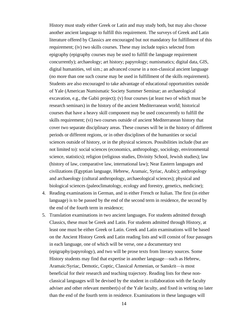History must study either Greek or Latin and may study both, but may also choose another ancient language to fulfill this requirement. The surveys of Greek and Latin literature offered by Classics are encouraged but not mandatory for fulfillment of this requirement; (iv) two skills courses. These may include topics selected from epigraphy (epigraphy courses may be used to fulfill the language requirement concurrently); archaeology; art history; papyrology; numismatics; digital data, GIS, digital humanities, vel sim.; an advanced course in a non-classical ancient language (no more than one such course may be used in fulfillment of the skills requirement). Students are also encouraged to take advantage of educational opportunities outside of Yale (American Numismatic Society Summer Seminar; an archaeological excavation, e.g., the Gabii project); (v) four courses (at least two of which must be research seminars) in the history of the ancient Mediterranean world; historical courses that have a heavy skill component may be used concurrently to fulfill the skills requirement; (vi) two courses outside of ancient Mediterranean history that cover two separate disciplinary areas. These courses will be in the history of different periods or different regions, or in other disciplines of the humanities or social sciences outside of history, or in the physical sciences. Possibilities include (but are not limited to): social sciences (economics, anthropology, sociology, environmental science, statistics); religion (religious studies, Divinity School, Jewish studies); law (history of law, comparative law, international law); Near Eastern languages and civilizations (Egyptian language, Hebrew, Aramaic, Syriac, Arabic); anthropology and archaeology (cultural anthropology, archaeological sciences); physical and biological sciences (paleoclimatology, ecology and forestry, genetics, medicine);

- 4. Reading examinations in German, and in either French or Italian. The first (in either language) is to be passed by the end of the second term in residence, the second by the end of the fourth term in residence;
- 5. Translation examinations in two ancient languages. For students admitted through Classics, these must be Greek and Latin. For students admitted through History, at least one must be either Greek or Latin. Greek and Latin examinations will be based on the Ancient History Greek and Latin reading lists and will consist of four passages in each language, one of which will be verse, one a documentary text (epigraphy/papyrology), and two will be prose texts from literary sources. Some History students may find that expertise in another language—such as Hebrew, Aramaic/Syriac, Demotic, Coptic, Classical Armenian, or Sanskrit—is most beneficial for their research and teaching trajectory. Reading lists for these nonclassical languages will be devised by the student in collaboration with the faculty adviser and other relevant member(s) of the Yale faculty, and fixed in writing no later than the end of the fourth term in residence. Examinations in these languages will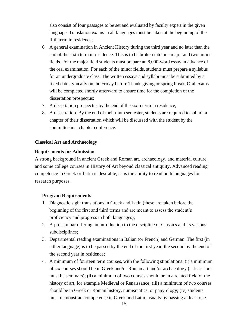also consist of four passages to be set and evaluated by faculty expert in the given language. Translation exams in all languages must be taken at the beginning of the fifth term in residence;

- 6. A general examination in Ancient History during the third year and no later than the end of the sixth term in residence. This is to be broken into one major and two minor fields. For the major field students must prepare an 8,000-word essay in advance of the oral examination. For each of the minor fields, students must prepare a syllabus for an undergraduate class. The written essays and syllabi must be submitted by a fixed date, typically on the Friday before Thanksgiving or spring break. Oral exams will be completed shortly afterward to ensure time for the completion of the dissertation prospectus;
- 7. A dissertation prospectus by the end of the sixth term in residence;
- 8. A dissertation. By the end of their ninth semester, students are required to submit a chapter of their dissertation which will be discussed with the student by the committee in a chapter conference.

#### **Classical Art and Archaeology**

#### **Requirements for Admission**

A strong background in ancient Greek and Roman art, archaeology, and material culture, and some college courses in History of Art beyond classical antiquity. Advanced reading competence in Greek or Latin is desirable, as is the ability to read both languages for research purposes.

#### **Program Requirements**

- 1. Diagnostic sight translations in Greek and Latin (these are taken before the beginning of the first and third terms and are meant to assess the student's proficiency and progress in both languages);
- 2. A proseminar offering an introduction to the discipline of Classics and its various subdisciplines;
- 3. Departmental reading examinations in Italian (or French) and German. The first (in either language) is to be passed by the end of the first year, the second by the end of the second year in residence;
- 4. A minimum of fourteen term courses, with the following stipulations: (i) a minimum of six courses should be in Greek and/or Roman art and/or archaeology (at least four must be seminars); (ii) a minimum of two courses should be in a related field of the history of art, for example Medieval or Renaissance; (iii) a minimum of two courses should be in Greek or Roman history, numismatics, or papyrology; (iv) students must demonstrate competence in Greek and Latin, usually by passing at least one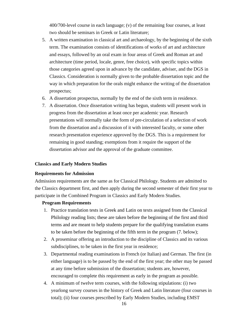400/700-level course in each language; (v) of the remaining four courses, at least two should be seminars in Greek or Latin literature;

- 5. A written examination in classical art and archaeology, by the beginning of the sixth term. The examination consists of identifications of works of art and architecture and essays, followed by an oral exam in four areas of Greek and Roman art and architecture (time period, locale, genre, free choice), with specific topics within those categories agreed upon in advance by the candidate, adviser, and the DGS in Classics. Consideration is normally given to the probable dissertation topic and the way in which preparation for the orals might enhance the writing of the dissertation prospectus;
- 6. A dissertation prospectus, normally by the end of the sixth term in residence.
- 7. A dissertation. Once dissertation writing has begun, students will present work in progress from the dissertation at least once per academic year. Research presentations will normally take the form of pre-circulation of a selection of work from the dissertation and a discussion of it with interested faculty, or some other research presentation experience approved by the DGS. This is a requirement for remaining in good standing; exemptions from it require the support of the dissertation advisor and the approval of the graduate committee.

#### **Classics and Early Modern Studies**

#### **Requirements for Admission**

Admission requirements are the same as for Classical Philology. Students are admitted to the Classics department first, and then apply during the second semester of their first year to participate in the Combined Program in Classics and Early Modern Studies.

#### **Program Requirements**

- 1. Practice translation tests in Greek and Latin on texts assigned from the Classical Philology reading lists; these are taken before the beginning of the first and third terms and are meant to help students prepare for the qualifying translation exams to be taken before the beginning of the fifth term in the program (7. below);
- 2. A proseminar offering an introduction to the discipline of Classics and its various subdisciplines, to be taken in the first year in residence;
- 3. Departmental reading examinations in French (or Italian) and German. The first (in either language) is to be passed by the end of the first year; the other may be passed at any time before submission of the dissertation; students are, however, encouraged to complete this requirement as early in the program as possible.
- 4. A minimum of twelve term courses, with the following stipulations: (i) two yearlong survey courses in the history of Greek and Latin literature (four courses in total); (ii) four courses prescribed by Early Modern Studies, including EMST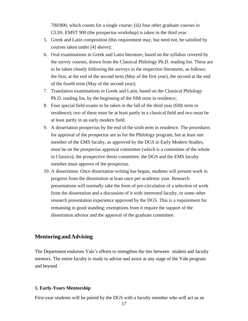700/800, which counts for a single course; (iii) four other graduate courses in CLSS. EMST 900 (the prospectus workshop) is taken in the third year.

- 5. Greek and Latin composition (this requirement may, but need not, be satisfied by courses taken under [4] above);
- 6. Oral examinations in Greek and Latin literature, based on the syllabus covered by the survey courses, drawn from the Classical Philology Ph.D. reading list. These are to be taken closely following the surveys in the respective literatures, as follows: the first, at the end of the second term (May of the first year), the second at the end of the fourth term (May of the second year);
- 7. Translation examinations in Greek and Latin, based on the Classical Philology Ph.D. reading list, by the beginning of the fifth term in residence;
- 8. Four special field exams to be taken in the fall of the third year (fifth term in residence); two of these must be at least partly in a classical field and two must be at least partly in an early modern field.
- 9. A dissertation prospectus by the end of the sixth term in residence. The procedures for approval of the prospectus are as for the Philology program, but at least one member of the EMS faculty, as approved by the DGS in Early Modern Studies, must be on the prospectus approval committee (which is a committee of the whole in Classics); the prospective thesis committee, the DGS and the EMS faculty member must approve of the prospectus.
- 10. A dissertation. Once dissertation writing has begun, students will present work in progress from the dissertation at least once per academic year. Research presentations will normally take the form of pre-circulation of a selection of work from the dissertation and a discussion of it with interested faculty, or some other research presentation experience approved by the DGS. This is a requirement for remaining in good standing; exemptions from it require the support of the dissertation advisor and the approval of the graduate committee.

## **Mentoring andAdvising**

The Department endorses Yale's efforts to strengthen the ties between student and faculty mentors. The entire faculty is ready to advise and assist at any stage of the Yale program and beyond.

### **1. Early-Years Mentorship**

First-year students will be paired by the DGS with a faculty member who will act as an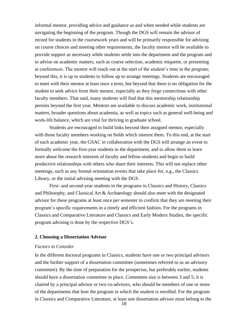informal mentor, providing advice and guidance as and when needed while students are navigating the beginning of the program. Though the DGS will remain the advisor of record for students in the coursework years and will be primarily responsible for advising on course choices and meeting other requirements, the faculty mentor will be available to provide support as necessary while students settle into the department and the program and to advise on academic matters, such as course selection, academic etiquette, or presenting at conferences. The mentor will reach out at the start of the student's time in the program; beyond this, it is up to students to follow up to arrange meetings. Students are encouraged to meet with their mentor at least once a term, but beyond that there is no obligation for the student to seek advice from their mentor, especially as they forge connections with other faculty members. That said, many students will find that this mentorship relationship persists beyond the first year. Mentors are available to discuss academic work, institutional matters, broader questions about academia, as well as topics such as general well-being and work-life balance, which are vital for thriving in graduate school.

 Students are encouraged to build links beyond their assigned mentor, especially with those faculty members working on fields which interest them. To this end, at the start of each academic year, the GSAC in collaboration with the DGS will arrange an event to formally welcome the first-year students to the department, and to allow them to learn more about the research interests of faculty and fellow-students and begin to build productive relationships with others who share their interests. This will not replace other meetings, such as any formal orientation events that take place for, e.g., the Classics Library, or the initial advising meeting with the DGS.

First- and second-year students in the programs in Classics and History, Classics and Philosophy, and Classical Art & Archaeology should also meet with the designated advisor for these programs at least once per semester to confirm that they are meeting their program's specific requirements in a timely and efficient fashion. For the programs in Classics and Comparative Literature and Classics and Early Modern Studies, the specific program advising is done by the respective DGS's.

#### **2. Choosing a Dissertation Advisor**

#### *Factors to Consider*

In the different doctoral programs in Classics, students have one or two principal advisors and the further support of a dissertation committee (sometimes referred to as an advisory committee). By the time of preparation for the prospectus, but preferably earlier, students should have a dissertation committee in place. Committee size is between 3 and 5; it is chaired by a principal advisor or two co-advisors, who should be members of one or more of the departments that host the program in which the student is enrolled. For the program in Classics and Comparative Literature, at least one dissertation advisor must belong to the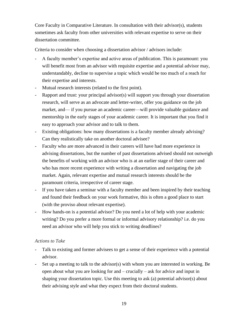Core Faculty in Comparative Literature. In consultation with their advisor(s), students sometimes ask faculty from other universities with relevant expertise to serve on their dissertation committee.

Criteria to consider when choosing a dissertation advisor / advisors include:

- A faculty member's expertise and active areas of publication. This is paramount: you will benefit most from an advisor with requisite expertise and a potential advisor may, understandably, decline to supervise a topic which would be too much of a reach for their expertise and interests.
- Mutual research interests (related to the first point).
- Rapport and trust: your principal advisor(s) will support you through your dissertation research, will serve as an advocate and letter-writer, offer you guidance on the job market, and— if you pursue an academic career—will provide valuable guidance and mentorship in the early stages of your academic career. It is important that you find it easy to approach your advisor and to talk to them.
- Existing obligations: how many dissertations is a faculty member already advising? Can they realistically take on another doctoral advisee?
- Faculty who are more advanced in their careers will have had more experience in advising dissertations, but the number of past dissertations advised should not outweigh the benefits of working with an advisor who is at an earlier stage of their career and who has more recent experience with writing a dissertation and navigating the job market. Again, relevant expertise and mutual research interests should be the paramount criteria, irrespective of career stage.
- If you have taken a seminar with a faculty member and been inspired by their teaching and found their feedback on your work formative, this is often a good place to start (with the proviso about relevant expertise).
- How hands-on is a potential advisor? Do you need a lot of help with your academic writing? Do you prefer a more formal or informal advisory relationship? i.e. do you need an advisor who will help you stick to writing deadlines?

## *Actions to Take*

- Talk to existing and former advisees to get a sense of their experience with a potential advisor.
- Set up a meeting to talk to the advisor(s) with whom you are interested in working. Be open about what you are looking for and – crucially – ask for advice and input in shaping your dissertation topic. Use this meeting to ask (a) potential advisor(s) about their advising style and what they expect from their doctoral students.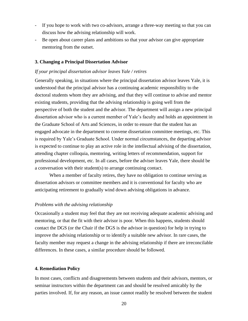- If you hope to work with two co-advisors, arrange a three-way meeting so that you can discuss how the advising relationship will work.
- Be open about career plans and ambitions so that your advisor can give appropriate mentoring from the outset.

#### **3. Changing a Principal Dissertation Advisor**

#### *If your principal dissertation advisor leaves Yale / retires*

Generally speaking, in situations where the principal dissertation advisor leaves Yale, it is understood that the principal advisor has a continuing academic responsibility to the doctoral students whom they are advising, and that they will continue to advise and mentor existing students, providing that the advising relationship is going well from the perspective of both the student and the advisor. The department will assign a new principal dissertation advisor who is a current member of Yale's faculty and holds an appointment in the Graduate School of Arts and Sciences, in order to ensure that the student has an engaged advocate in the department to convene dissertation committee meetings, etc. This is required by Yale's Graduate School. Under normal circumstances, the departing advisor is expected to continue to play an active role in the intellectual advising of the dissertation, attending chapter colloquia, mentoring, writing letters of recommendation, support for professional development, etc. In all cases, before the adviser leaves Yale, there should be a conversation with their student(s) to arrange continuing contact.

When a member of faculty retires, they have no obligation to continue serving as dissertation advisors or committee members and it is conventional for faculty who are anticipating retirement to gradually wind down advising obligations in advance.

#### *Problems with the advising relationship*

Occasionally a student may feel that they are not receiving adequate academic advising and mentoring, or that the fit with their advisor is poor. When this happens, students should contact the DGS (or the Chair if the DGS is the advisor in question) for help in trying to improve the advising relationship or to identify a suitable new advisor. In rare cases, the faculty member may request a change in the advising relationship if there are irreconcilable differences. In these cases, a similar procedure should be followed.

#### **4. Remediation Policy**

In most cases, conflicts and disagreements between students and their advisors, mentors, or seminar instructors within the department can and should be resolved amicably by the parties involved. If, for any reason, an issue cannot readily be resolved between the student

20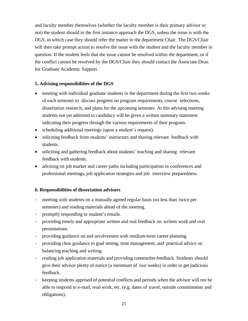and faculty member themselves (whether the faculty member is their primary advisor or not) the student should in the first instance approach the DGS, unless the issue is with the DGS, in which case they should refer the matter to the department Chair. The DGS/Chair will then take prompt action to resolve the issue with the student and the faculty member in question. If the student feels that the issue cannot be resolved within the department, or if the conflict cannot be resolved by the DGS/Chair they should contact the Associate Dean for Graduate Academic Support.

## **5. Advising responsibilities of the DGS**

- meeting with individual graduate students in the department during the first two weeks of each semester to discuss progress on program requirements, course selections, dissertation research, and plans for the upcoming semester. At this advising meeting students not yet admitted to candidacy will be given a written summary statement indicating their progress through the various requirements of their program.
- scheduling additional meetings (upon a student's request).
- soliciting feedback from students' instructors and sharing relevant feedback with students.
- soliciting and gathering feedback about students' teaching and sharing relevant feedback with students.
- advising on job market and career paths including participation in conferences and professional meetings, job application strategies and job interview preparedness.

## **6. Responsibilities of dissertation advisors**

- meeting with students on a mutually agreed regular basis (no less than twice per semester) and reading materials ahead of the meeting.
- promptly responding to student's emails.
- providing timely and appropriate written and oral feedback on written work and oral presentations.
- providing guidance on and involvement with medium-term career planning.
- providing clear guidance in goal setting, time management, and practical advice on balancing teaching and writing.
- reading job application materials and providing constructive feedback. Students should give their advisor plenty of notice (a minimum of two weeks) in order to get judicious feedback.
- keeping students apprised of potential conflicts and periods when the advisor will not be able to respond to e-mail, read work, etc. (e.g. dates of travel, outside commitments and obligations).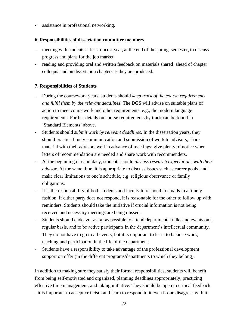assistance in professional networking.

## **6. Responsibilities of dissertation committee members**

- meeting with students at least once a year, at the end of the spring semester, to discuss progress and plans for the job market.
- reading and providing oral and written feedback on materials shared ahead of chapter colloquia and on dissertation chapters as they are produced.

## **7. Responsibilities of Students**

- During the coursework years, students should *keep track of the course requirements and fulfil them by the relevant deadlines*. The DGS will advise on suitable plans of action to meet coursework and other requirements, e.g., the modern language requirements. Further details on course requirements by track can be found in 'Standard Elements' above.
- Students should *submit work by relevant deadlines*. In the dissertation years, they should practice timely communication and submission of work to advisors; share material with their advisors well in advance of meetings; give plenty of notice when letters of recommendation are needed and share work with recommenders.
- At the beginning of candidacy, students should *discuss research expectations with their advisor*. At the same time, it is appropriate to discuss issues such as career goals, and make clear limitations to one's schedule, e.g. religious observance or family obligations.
- It is the responsibility of both students and faculty to respond to emails in a timely fashion. If either party does not respond, it is reasonable for the other to follow up with reminders. Students should take the initiative if crucial information is not being received and necessary meetings are being missed.
- Students should endeavor as far as possible to attend departmental talks and events on a regular basis, and to be active participants in the department's intellectual community. They do not have to go to all events, but it is important to learn to balance work, teaching and participation in the life of the department.
- Students have a responsibility to take advantage of the professional development support on offer (in the different programs/departments to which they belong).

In addition to making sure they satisfy their formal responsibilities, students will benefit from being self-motivated and organized, planning deadlines appropriately, practicing effective time management, and taking initiative. They should be open to critical feedback - it is important to accept criticism and learn to respond to it even if one disagrees with it.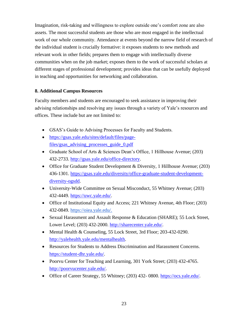Imagination, risk-taking and willingness to explore outside one's comfort zone are also assets. The most successful students are those who are most engaged in the intellectual work of our whole community. Attendance at events beyond the narrow field of research of the individual student is crucially formative: it exposes students to new methods and relevant work in other fields; prepares them to engage with intellectually diverse communities when on the job market; exposes them to the work of successful scholars at different stages of professional development; provides ideas that can be usefully deployed in teaching and opportunities for networking and collaboration.

## **8. Additional Campus Resources**

Faculty members and students are encouraged to seek assistance in improving their advising relationships and resolving any issues through a variety of Yale's resources and offices. These include but are not limited to:

- GSAS's Guide to Advising Processes for Faculty and Students.
- [https://gsas.yale.edu/sites/default/files/page](https://gsas.yale.edu/sites/default/files/page-files/gsas_advising_processes_guide_0.pdf)[files/gsas\\_advising\\_processes\\_guide\\_0.pdf](https://gsas.yale.edu/sites/default/files/page-files/gsas_advising_processes_guide_0.pdf)
- Graduate School of Arts & Sciences Dean's Office, 1 Hillhouse Avenue; (203) 432-2733. [http://gsas.yale.edu/office-directory.](http://gsas.yale.edu/office-directory)
- Office for Graduate Student Development & Diversity, 1 Hillhouse Avenue; (203) 436-1301. [https://gsas.yale.edu/diversity/office-graduate-student-development](https://gsas.yale.edu/diversity/office-graduate-student-development-diversity-ogsdd)[diversity-ogsdd.](https://gsas.yale.edu/diversity/office-graduate-student-development-diversity-ogsdd)
- University-Wide Committee on Sexual Misconduct, 55 Whitney Avenue; (203) 432-4449. [https://uwc.yale.edu/.](https://uwc.yale.edu/)
- Office of Institutional Equity and Access; 221 Whitney Avenue, 4th Floor; (203) 432-0849. [https://oiea.yale.edu/.](https://oiea.yale.edu/)
- Sexual Harassment and Assault Response & Education (SHARE); 55 Lock Street, Lower Level; (203) 432-2000. [http://sharecenter.yale.edu/.](http://sharecenter.yale.edu/)
- Mental Health & Counseling, 55 Lock Street, 3rd Floor; 203-432-0290. [http://yalehealth.yale.edu/mentalhealth.](http://yalehealth.yale.edu/mentalhealth)
- Resources for Students to Address Discrimination and Harassment Concerns. [https://student-dhr.yale.edu/.](https://student-dhr.yale.edu/)
- Poorvu Center for Teaching and Learning, 301 York Street; (203) 432-4765. [http://poorvucenter.yale.edu/.](http://poorvucenter.yale.edu/)
- Office of Career Strategy, 55 Whitney; (203) 432-0800. [https://ocs.yale.edu/.](https://ocs.yale.edu/)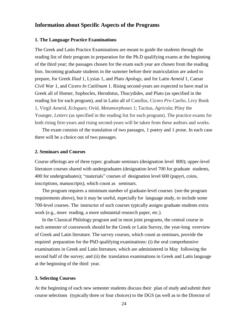## **Information about Specific Aspects of the Programs**

### **1. The Language Practice Examinations**

The Greek and Latin Practice Examinations are meant to guide the students through the reading list of their program in preparation for the Ph.D qualifying exams at the beginning of the third year; the passages chosen for the exam each year are chosen from the reading lists. Incoming graduate students in the summer before their matriculation are asked to prepare, for Greek *Iliad* 1, Lysias 1, and Plato *Apology*, and for Latin *Aeneid* 1, Caesar *Civil War* 1, and Cicero *In Catilinam* 1. Rising second-years are expected to have read in Greek all of Homer, Sophocles, Herodotus, Thucydides, and Plato (as specified in the reading list for each program), and in Latin all of Catullus, Cicero *Pro Caelio*, Livy Book 1, Virgil *Aeneid*, *Eclogues*; Ovid, *Metamorphoses* 1; Tacitus, *Agricola*; Pliny the Younger, *Letters* (as specified in the reading list for each program). The practice exams for both rising first-years and rising second-years will be taken from these authors and works.

The exam consists of the translation of two passages, 1 poetry and 1 prose. In each case there will be a choice out of two passages.

#### **2. Seminars and Courses**

Course offerings are of three types: graduate seminars (designation level 800); upper-level literature courses shared with undergraduates (designation level 700 for graduate students, 400 for undergraduates); "materials" courses of designation level 600 (papyri, coins, inscriptions, manuscripts), which count as seminars.

The program requires a minimum number of graduate-level courses (see the program requirements above), but it may be useful, especially for language study, to include some 700-level courses. The instructor of such courses typically assigns graduate students extra work (e.g., more reading, a more substantial research paper, etc.).

In the Classical Philology program and in most joint programs, the central course in each semester of coursework should be the Greek or Latin Survey, the year-long overview of Greek and Latin literature. The survey courses, which count as seminars, provide the required preparation for the PhD qualifying examinations: (i) the oral comprehensive examinations in Greek and Latin literature, which are administered in May following the second half of the survey; and (ii) the translation examinations in Greek and Latin language at the beginning of the third year.

#### **3. Selecting Courses**

At the beginning of each new semester students discuss their plan of study and submit their course selections (typically three or four choices) to the DGS (as well as to the Director of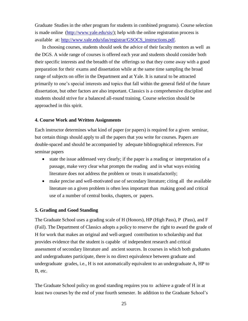Graduate Studies in the other program for students in combined programs). Course selection is made online [\(http://www.yale.edu/sis/\)](http://www.yale.edu/sis/); help with the online registration process is available at: [http://www.yale.edu/sfas/registrar/GSOCS\\_instructions.pdf.](http://www.yale.edu/sfas/registrar/GSOCS_instructions.pdf)

In choosing courses, students should seek the advice of their faculty mentors as well as the DGS. A wide range of courses is offered each year and students should consider both their specific interests and the breadth of the offerings so that they come away with a good preparation for their exams and dissertation while at the same time sampling the broad range of subjects on offer in the Department and at Yale. It is natural to be attracted primarily to one's special interests and topics that fall within the general field of the future dissertation, but other factors are also important. Classics is a comprehensive discipline and students should strive for a balanced all-round training. Course selection should be approached in this spirit.

### **4. Course Work and Written Assignments**

Each instructor determines what kind of paper (or papers) is required for a given seminar, but certain things should apply to all the papers that you write for courses. Papers are double-spaced and should be accompanied by adequate bibliographical references. For seminar papers

- state the issue addressed very clearly; if the paper is a reading or interpretation of a passage, make very clear what prompts the reading and in what ways existing literature does not address the problem or treats it unsatisfactorily;
- make precise and well-motivated use of secondary literature; citing all the available literature on a given problem is often less important than making good and critical use of a number of central books, chapters, or papers.

### **5. Grading and Good Standing**

The Graduate School uses a grading scale of H (Honors), HP (High Pass), P (Pass), and F (Fail). The Department of Classics adopts a policy to reserve the right to award the grade of H for work that makes an original and well-argued contribution to scholarship and that provides evidence that the student is capable of independent research and critical assessment of secondary literature and ancient sources. In courses in which both graduates and undergraduates participate, there is no direct equivalence between graduate and undergraduate grades, i.e., H is not automatically equivalent to an undergraduate A, HP to B, etc.

The Graduate School policy on good standing requires you to achieve a grade of H in at least two courses by the end of your fourth semester. In addition to the Graduate School's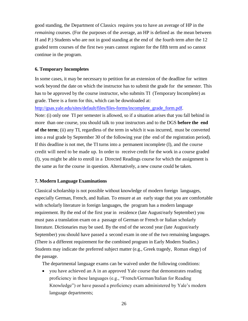good standing, the Department of Classics requires you to have an average of HP in the *remaining* courses. (For the purposes of the average, an HP is defined as the mean between H and P.) Students who are not in good standing at the end of the fourth term after the 12 graded term courses of the first two years cannot register for the fifth term and so cannot continue in the program.

### **6. Temporary Incompletes**

In some cases, it may be necessary to petition for an extension of the deadline for written work beyond the date on which the instructor has to submit the grade for the semester. This has to be approved by the course instructor, who submits TI (Temporary Incomplete) as grade. There is a form for this, which can be downloaded at:

[http://gsas.yale.edu/sites/default/files/files-forms/incomplete\\_grade\\_form.pdf.](http://gsas.yale.edu/sites/default/files/files-forms/incomplete_grade_form.pdf)

Note: (i) only one TI per semester is allowed, so if a situation arises that you fall behind in more than one course, you should talk to your instructors and to the DGS **before the end of the term**; (ii) any TI, regardless of the term in which it was incurred, must be converted into a real grade by September 30 of the following year (the end of the registration period). If this deadline is not met, the TI turns into a permanent incomplete (I), and the course credit will need to be made up. In order to receive credit for the work in a course graded (I), you might be able to enroll in a Directed Readings course for which the assignment is the same as for the course in question. Alternatively, a new course could be taken.

#### **7. Modern Language Examinations**

Classical scholarship is not possible without knowledge of modern foreign languages, especially German, French, and Italian. To ensure at an early stage that you are comfortable with scholarly literature in foreign languages, the program has a modern language requirement. By the end of the first year in residence (late August/early September) you must pass a translation exam on a passage of German or French or Italian scholarly literature. Dictionaries may be used. By the end of the second year (late August/early September) you should have passed a second exam in one of the two remaining languages. (There is a different requirement for the combined program in Early Modern Studies.) Students may indicate the preferred subject matter (e.g., Greek tragedy, Roman elegy) of the passage.

The departmental language exams can be waived under the following conditions:

• you have achieved an A in an approved Yale course that demonstrates reading proficiency in these languages (e.g., "French/German/Italian for Reading Knowledge") or have passed a proficiency exam administered by Yale's modern language departments;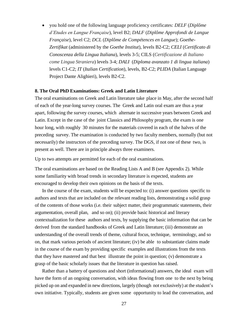• you hold one of the following language proficiency certificates: *DELF* (*Diplôme d'Etudes en Langue Française*), level B2; *DALF* (*Diplôme Approfondi de Langue Française*), level C2; *DCL* (*Diplôme de Compétences en Langue*); *Goethe-Zertifikat* (administered by the *Goethe Institut*), levels B2-C2; *CELI* (*Certificato di Conoscenza della Lingua Italiana*), levels 3-5; CILS (*Certificazione di Italiano come Lingua Straniera*) levels 3-4; *DALI* (*Diploma avanzato 1 di lingua italiana*) levels C1-C2; *IT* (*Italian Certification*), levels, B2-C2; *PLIDA* (Italian Language Project Dante Alighieri), levels B2-C2.

#### **8. The Oral PhD Examinations: Greek and Latin Literature**

The oral examinations on Greek and Latin literature take place in May, after the second half of each of the year-long survey courses. The Greek and Latin oral exam are thus a year apart, following the survey courses, which alternate in successive years between Greek and Latin. Except in the case of the joint Classics and Philosophy program, the exam is one hour long, with roughly 30 minutes for the materials covered in each of the halves of the preceding survey. The examination is conducted by two faculty members, normally (but not necessarily) the instructors of the preceding survey. The DGS, if not one of these two, is present as well. There are in principle always three examiners.

Up to two attempts are permitted for each of the oral examinations.

The oral examinations are based on the Reading Lists A and B (see Appendix 2). While some familiarity with broad trends in secondary literature is expected, students are encouraged to develop their own opinions on the basis of the texts.

In the course of the exam, students will be expected to: (i) answer questions specific to authors and texts that are included on the relevant reading lists, demonstrating a solid grasp of the contents of those works (i.e. their subject matter, their programmatic statements, their argumentation, overall plan, and so on); (ii) provide basic historical and literary contextualization for these authors and texts, by supplying the basic information that can be derived from the standard handbooks of Greek and Latin literature; (iii) demonstrate an understanding of the overall trends of theme, cultural focus, technique, terminology, and so on, that mark various periods of ancient literature; (iv) be able to substantiate claims made in the course of the exam by providing specific examples and illustrations from the texts that they have mastered and that best illustrate the point in question; (v) demonstrate a grasp of the basic scholarly issues that the literature in question has raised.

Rather than a battery of questions and short (informational) answers, the ideal exam will have the form of an ongoing conversation, with ideas flowing from one to the next by being picked up on and expanded in new directions, largely (though not exclusively) at the student's own initiative. Typically, students are given some opportunity to lead the conversation, and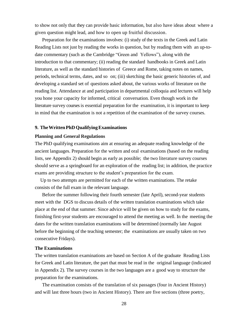to show not only that they can provide basic information, but also have ideas about where a given question might lead, and how to open up fruitful discussion.

Preparation for the examinations involves: (i) study of the texts in the Greek and Latin Reading Lists not just by reading the works in question, but by reading them with an up-todate commentary (such as the Cambridge "Green and Yellows"), along with the introduction to that commentary; (ii) reading the standard handbooks in Greek and Latin literature, as well as the standard histories of Greece and Rome, taking notes on names, periods, technical terms, dates, and so on; (iii) sketching the basic generic histories of, and developing a standard set of questions asked about, the various works of literature on the reading list. Attendance at and participation in departmental colloquia and lectures will help you hone your capacity for informed, critical conversation. Even though work in the literature survey courses is essential preparation for the examination, it is important to keep in mind that the examination is not a repetition of the examination of the survey courses.

#### **9. TheWrittenPhDQualifyingExaminations**

#### **Planning and General Regulations**

The PhD qualifying examinations aim at ensuring an adequate reading knowledge of the ancient languages. Preparation for the written and oral examinations (based on the reading lists, see Appendix 2) should begin as early as possible; the two literature survey courses should serve as a springboard for an exploration of the reading list; in addition, the practice exams are providing structure to the student's preparation for the exam.

Up to two attempts are permitted for each of the written examinations. The retake consists of the full exam in the relevant language.

Before the summer following their fourth semester (late April), second-year students meet with the DGS to discuss details of the written translation examinations which take place at the end of that summer. Since advice will be given on how to study for the exams, finishing first-year students are encouraged to attend the meeting as well. In the meeting the dates for the written translation examinations will be determined (normally late August before the beginning of the teaching semester; the examinations are usually taken on two consecutive Fridays).

#### **The Examinations**

The written translation examinations are based on Section A of the graduate Reading Lists for Greek and Latin literature, the part that must be read in the original language (indicated in Appendix 2). The survey courses in the two languages are a good way to structure the preparation for the examinations.

The examination consists of the translation of six passages (four in Ancient History) and will last three hours (two in Ancient History). There are five sections (three poetry,

28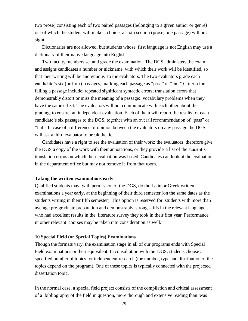two prose) consisting each of two paired passages (belonging to a given author or genre) out of which the student will make a choice; a sixth section (prose, one passage) will be at sight.

Dictionaries are not allowed, but students whose first language is not English may use a dictionary of their native language into English.

Two faculty members set and grade the examination. The DGS administers the exam and assigns candidates a number or nickname with which their work will be identified, so that their writing will be anonymous to the evaluators. The two evaluators grade each candidate's six (or four) passages, marking each passage as "pass" or "fail." Criteria for failing a passage include: repeated significant syntactic errors; translation errors that demonstrably distort or miss the meaning of a passage; vocabulary problems when they have the same effect. The evaluators will not communicate with each other about the grading, to ensure an independent evaluation. Each of them will report the results for each candidate's six passages to the DGS, together with an overall recommendation of "pass" or "fail". In case of a difference of opinion between the evaluators on any passage the DGS will ask a third evaluator to break the tie.

Candidates have a right to see the evaluation of their work; the evaluators therefore give the DGS a copy of the work with their annotations, or they provide a list of the student's translation errors on which their evaluation was based. Candidates can look at the evaluation in the department office but may not remove it from that room.

### **Taking the written examinations early**

Qualified students may, with permission of the DGS, do the Latin or Greek written examinations a year early, at the beginning of their third semester (on the same dates as the students writing in their fifth semester). This option is reserved for students with more than average pre-graduate preparation and demonstrably strong skills in the relevant language, who had excellent results in the literature survey they took in their first year. Performance in other relevant courses may be taken into consideration as well.

#### **10 Special Field (or Special Topics) Examinations**

Though the formats vary, the examination stage in all of our programs ends with Special Field examinations or their equivalent. In consultation with the DGS, students choose a specified number of topics for independent research (the number, type and distribution of the topics depend on the program). One of these topics is typically connected with the projected dissertation topic.

In the normal case, a special field project consists of the compilation and critical assessment of a bibliography of the field in question, more thorough and extensive reading than was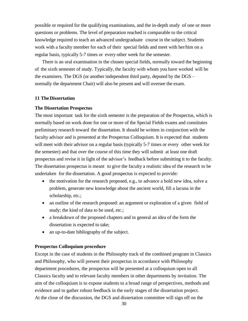possible or required for the qualifying examinations, and the in-depth study of one or more questions or problems. The level of preparation reached is comparable to the critical knowledge required to teach an advanced undergraduate course in the subject. Students work with a faculty member for each of their special fields and meet with her/him on a regular basis, typically 5-7 times or every other week for the semester.

There is an oral examination in the chosen special fields, normally toward the beginning of the sixth semester of study. Typically, the faculty with whom you have worked will be the examiners. The DGS (or another independent third party, deputed by the DGS – normally the department Chair) will also be present and will oversee the exam.

#### **11 The Dissertation**

## **The Dissertation Prospectus**

The most important task for the sixth semester is the preparation of the Prospectus, which is normally based on work done for one or more of the Special Fields exams and constitutes preliminary research toward the dissertation. It should be written in conjunction with the faculty advisor and is presented at the Prospectus Colloquium. It is expected that students will meet with their advisor on a regular basis (typically 5-7 times or every other week for the semester) and that over the course of this time they will submit at least one draft prospectus and revise it in light of the advisor's feedback before submitting it to the faculty. The dissertation prospectus is meant to give the faculty a realistic idea of the research to be undertaken for the dissertation. A good prospectus is expected to provide:

- the motivation for the research proposed, e.g., to advance a bold new idea, solve a problem, generate new knowledge about the ancient world, fill a lacuna in the scholarship, etc.;
- an outline of the research proposed: an argument or exploration of a given field of study; the kind of data to be used, etc.;
- a breakdown of the proposed chapters and in general an idea of the form the dissertation is expected to take;
- an up-to-date bibliography of the subject.

### **Prospectus Colloquium procedure**

Except in the case of students in the Philosophy track of the combined program in Classics and Philosophy, who will present their prospectus in accordance with Philosophy department procedures, the prospectus will be presented at a colloquium open to all Classics faculty and to relevant faculty members in other departments by invitation. The aim of the colloquium is to expose students to a broad range of perspectives, methods and evidence and to gather robust feedback in the early stages of the dissertation project. At the close of the discussion, the DGS and dissertation committee will sign off on the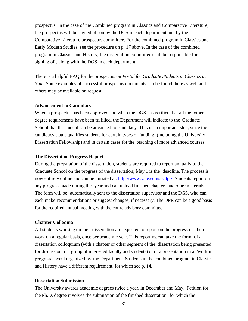prospectus. In the case of the Combined program in Classics and Comparative Literature, the prospectus will be signed off on by the DGS in each department and by the Comparative Literature prospectus committee. For the combined program in Classics and Early Modern Studies, see the procedure on p. 17 above. In the case of the combined program in Classics and History, the dissertation committee shall be responsible for signing off, along with the DGS in each department.

There is a helpful FAQ for the prospectus on *Portal for Graduate Students in Classics at Yale*. Some examples of successful prospectus documents can be found there as well and others may be available on request.

#### **Advancement to Candidacy**

When a prospectus has been approved and when the DGS has verified that all the other degree requirements have been fulfilled, the Department will indicate to the Graduate School that the student can be advanced to candidacy. This is an important step, since the candidacy status qualifies students for certain types of funding (including the University Dissertation Fellowship) and in certain cases for the teaching of more advanced courses.

#### **The Dissertation Progress Report**

During the preparation of the dissertation, students are required to report annually to the Graduate School on the progress of the dissertation; May 1 is the deadline. The process is now entirely online and can be initiated at: [http://www.yale.edu/sis/dpr/.](http://www.yale.edu/sis/dpr/) Students report on any progress made during the year and can upload finished chapters and other materials. The form will be automatically sent to the dissertation supervisor and the DGS, who can each make recommendations or suggest changes, if necessary. The DPR can be a good basis for the required annual meeting with the entire advisory committee.

#### **Chapter Colloquia**

All students working on their dissertation are expected to report on the progress of their work on a regular basis, once per academic year. This reporting can take the form of a dissertation colloquium (with a chapter or other segment of the dissertation being presented for discussion to a group of interested faculty and students) or of a presentation in a "work in progress" event organized by the Department. Students in the combined program in Classics and History have a different requirement, for which see p. 14.

## **Dissertation Submission**

The University awards academic degrees twice a year, in December and May. Petition for the Ph.D. degree involves the submission of the finished dissertation, for which the

31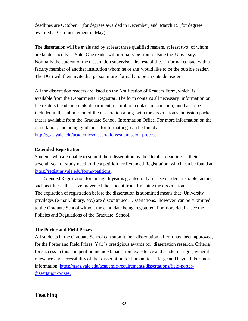deadlines are October 1 (for degrees awarded in December) and March 15 (for degrees awarded at Commencement in May).

The dissertation will be evaluated by at least three qualified readers, at least two of whom are ladder faculty at Yale. One reader will normally be from outside the University. Normally the student or the dissertation supervisor first establishes informal contact with a faculty member of another institution whom he or she would like to be the outside reader. The DGS will then invite that person more formally to be an outside reader.

All the dissertation readers are listed on the Notification of Readers Form, which is available from the Departmental Registrar. The form contains all necessary information on the readers (academic rank, department, institution, contact information) and has to be included in the submission of the dissertation along with the dissertation submission packet that is available from the Graduate School Information Office. For more information on the dissertation, including guidelines for formatting, can be found at [http://gsas.yale.edu/academics/dissertations/submission-process.](http://gsas.yale.edu/academics/dissertations/submission-process)

### **Extended Registration**

Students who are unable to submit their dissertation by the October deadline of their seventh year of study need to file a petition for Extended Registration, which can be found at [https://registrar.yale.edu/forms-petitions.](https://registrar.yale.edu/forms-petitions)

Extended Registration for an eighth year is granted only in case of demonstrable factors, such as illness, that have prevented the student from finishing the dissertation. The expiration of registration before the dissertation is submitted means that University privileges (e-mail, library, etc.) are discontinued. Dissertations, however, can be submitted to the Graduate School without the candidate being registered. For more details, see the Policies and Regulations of the Graduate School.

## **The Porter and Field Prizes**

All students in the Graduate School can submit their dissertation, after it has been approved, for the Porter and Field Prizes, Yale's prestigious awards for dissertation research. Criteria for success in this competition include (apart from excellence and academic rigor) general relevance and accessibility of the dissertation for humanities at large and beyond. For more information: https://gsas.yale.edu/academic-requirements/dissertations/field-porterdissertation-prizes.

## **Teaching**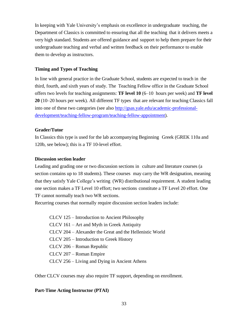In keeping with Yale University's emphasis on excellence in undergraduate teaching, the Department of Classics is committed to ensuring that all the teaching that it delivers meets a very high standard. Students are offered guidance and support to help them prepare for their undergraduate teaching and verbal and written feedback on their performance to enable them to develop as instructors.

## **Timing and Types of Teaching**

In line with general practice in the Graduate School, students are expected to teach in the third, fourth, and sixth years of study. The Teaching Fellow office in the Graduate School offers two levels for teaching assignments: **TF level 10** (6–10 hours per week) and **TF level 20** (10–20 hours per week). All different TF types that are relevant for teaching Classics fall into one of these two categories (see also [http://gsas.yale.edu/academic-professional](http://gsas.yale.edu/academic-professional-development/teaching-fellow-program/teaching-fellow-appointment)[development/teaching-fellow-program/teaching-fellow-appointment\)](http://gsas.yale.edu/academic-professional-development/teaching-fellow-program/teaching-fellow-appointment).

## **Grader/Tutor**

In Classics this type is used for the lab accompanying Beginning Greek (GREK 110a and 120b, see below); this is a TF 10-level effort.

## **Discussion section leader**

Leading and grading one or two discussion sections in culture and literature courses (a section contains up to 18 students). These courses may carry the WR designation, meaning that they satisfy Yale College's writing (WR) distributional requirement. A student leading one section makes a TF Level 10 effort; two sections constitute a TF Level 20 effort. One TF cannot normally teach two WR sections.

Recurring courses that normally require discussion section leaders include:

| CLCV 125 – Introduction to Ancient Philosophy            |
|----------------------------------------------------------|
| CLCV 161 – Art and Myth in Greek Antiquity               |
| CLCV 204 – Alexander the Great and the Hellenistic World |
| CLCV 205 – Introduction to Greek History                 |
| CLCV 206 – Roman Republic                                |
| CLCV 207 – Roman Empire                                  |
| CLCV 256 – Living and Dying in Ancient Athens            |

Other CLCV courses may also require TF support, depending on enrollment.

## **Part-Time Acting Instructor (PTAI)**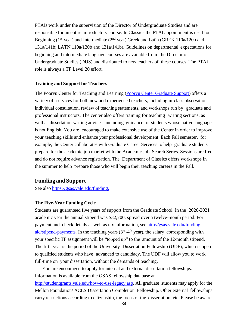PTAIs work under the supervision of the Director of Undergraduate Studies and are responsible for an entire introductory course. In Classics the PTAI appointment is used for Beginning ( $1<sup>st</sup>$  year) and Intermediate ( $2<sup>nd</sup>$  year) Greek and Latin (GREK 110a/120b and 131a/141b; LATN 110a/120b and 131a/141b). Guidelines on departmental expectations for beginning and intermediate language courses are available from the Director of Undergraduate Studies (DUS) and distributed to new teachers of these courses. The PTAI role is always a TF Level 20 effort.

#### **Training and Support for Teachers**

The Poorvu Center for Teaching and Learning [\(Poorvu Center Graduate Support\)](https://poorvucenter.yale.edu/GraduateStudents) offers a variety of services for both new and experienced teachers, including in-class observation, individual consultation, review of teaching statements, and workshops run by graduate and professional instructors. The center also offers training for teaching writing sections, as well as dissertation-writing advice—including guidance for students whose native language is not English. You are encouraged to make extensive use of the Center in order to improve your teaching skills and enhance your professional development. Each Fall semester, for example, the Center collaborates with Graduate Career Services to help graduate students prepare for the academic job market with the Academic Job Search Series. Sessions are free and do not require advance registration. The Department of Classics offers workshops in the summer to help prepare those who will begin their teaching careers in the Fall.

## **Funding and Support**

See also [https://gsas.yale.edu/funding.](https://gsas.yale.edu/funding)

#### **The Five-Year Funding Cycle**

Students are guaranteed five years of support from the Graduate School. In the 2020-2021 academic year the annual stipend was \$32,700, spread over a twelve-month period. For payment and check details as well as tax information, see [http://gsas.yale.edu/funding](http://gsas.yale.edu/funding-aid/stipend-payments)[aid/stipend-payments.](http://gsas.yale.edu/funding-aid/stipend-payments) In the teaching years (3<sup>rd</sup>-4<sup>th</sup> year), the salary corresponding with your specific TF assignment will be "topped up" to the amount of the 12-month stipend. The fifth year is the period of the University Dissertation Fellowship (UDF), which is open to qualified students who have advanced to candidacy. The UDF will allow you to work full-time on your dissertation, without the demands of teaching.

You are encouraged to apply for internal and external dissertation fellowships. Information is available from the GSAS fellowship database at [http://studentgrants.yale.edu/how-to-use-legacy.asp.](http://studentgrants.yale.edu/how-to-use-legacy.asp) All graduate students may apply for the Mellon Foundation/ ACLS Dissertation Completion Fellowship. Other external fellowships carry restrictions according to citizenship, the focus of the dissertation, etc. Please be aware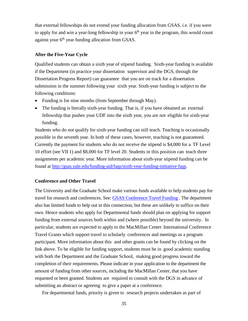that external fellowships do not extend your funding allocation from GSAS. i.e. if you were to apply for and win a year-long fellowship in your  $6<sup>th</sup>$  year in the program, this would count against your  $6<sup>th</sup>$  year funding allocation from GSAS.

### **After the Five-Year Cycle**

Qualified students can obtain a sixth year of stipend funding. Sixth-year funding is available if the Department (in practice your dissertation supervisor and the DGS, through the Dissertation Progress Report) can guarantee that you are on track for a dissertation submission in the summer following your sixth year. Sixth-year funding is subject to the following conditions:

- Funding is for nine months (from September through May).
- The funding is literally sixth-year funding. That is, if you have obtained an external fellowship that pushes your UDF into the sixth year, you are not eligible for sixth-year funding.

Students who do *not* qualify for sixth-year funding can still teach. Teaching is occasionally possible in the seventh year. In both of these cases, however, teaching is not guaranteed. Currently the payment for students who do not receive the stipend is \$4,000 for a TF Level 10 effort (see VII 1) and \$8,000 for TF level 20. Students in this position can teach three assignments per academic year. More information about sixth-year stipend funding can be found at [http://gsas.yale.edu/funding-aid/faqs/sixth-year-funding-initiative-faqs.](http://gsas.yale.edu/funding-aid/faqs/sixth-year-funding-initiative-faqs)

#### **Conference and Other Travel**

The University and the Graduate School make various funds available to help students pay for travel for research and conferences. See: **[GSAS Conference Travel Funding](https://gsas.yale.edu/resources-students/finances-fellowships/conference-travel-funding)**. The department also has limited funds to help out in this connection, but these are unlikely to suffice on their own. Hence students who apply for Departmental funds should plan on applying for support funding from external sources both within and (where possible) beyond the university. In particular, students are expected to apply to the MacMillan Center International Conference Travel Grants which support travel to scholarly conferences and meetings as a program participant. More information about this and other grants can be found by clicking on the link above. To be eligible for funding support, students must be in good academic standing with both the Department and the Graduate School, making good progress toward the completion of their requirements. Please indicate in your application to the department the amount of funding from other sources, including the MacMillan Center, that you have requested or been granted. Students are required to consult with the DGS in advance of submitting an abstract or agreeing to give a paper at a conference.

For departmental funds, priority is given to research projects undertaken as part of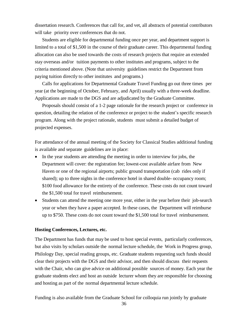dissertation research. Conferences that call for, and vet, all abstracts of potential contributors will take priority over conferences that do not.

Students are eligible for departmental funding once per year, and department support is limited to a total of \$1,500 in the course of their graduate career. This departmental funding allocation can also be used towards the costs of research projects that require an extended stay overseas and/or tuition payments to other institutes and programs, subject to the criteria mentioned above. (Note that university guidelines restrict the Department from paying tuition directly to other institutes and programs.)

Calls for applications for Departmental Graduate Travel Funding go out three times per year (at the beginning of October, February, and April) usually with a three-week deadline. Applications are made to the DGS and are adjudicated by the Graduate Committee.

Proposals should consist of a 1-2 page rationale for the research project or conference in question, detailing the relation of the conference or project to the student's specific research program. Along with the project rationale, students must submit a detailed budget of projected expenses.

For attendance of the annual meeting of the Society for Classical Studies additional funding is available and separate guidelines are in place:

- In the year students are attending the meeting in order to interview for jobs, the Department will cover: the registration fee; lowest-cost available airfare from New Haven or one of the regional airports; public ground transportation (cab rides only if shared); up to three nights in the conference hotel in shared double- occupancy room; \$100 food allowance for the entirety of the conference. These costs do not count toward the \$1,500 total for travel reimbursement.
- Students can attend the meeting one more year, either in the year before their job-search year or when they have a paper accepted. In these cases, the Department will reimburse up to \$750. These costs do not count toward the \$1,500 total for travel reimbursement.

### **Hosting Conferences, Lectures, etc.**

The Department has funds that may be used to host special events, particularly conferences, but also visits by scholars outside the normal lecture schedule, the Work in Progress group, Philology Day, special reading groups, etc. Graduate students requesting such funds should clear their projects with the DGS and their advisor, and then should discuss their requests with the Chair, who can give advice on additional possible sources of money. Each year the graduate students elect and host an outside lecturer whom they are responsible for choosing and hosting as part of the normal departmental lecture schedule.

Funding is also available from the Graduate School for colloquia run jointly by graduate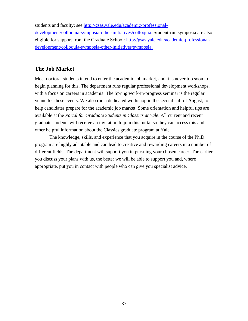students and faculty; see [http://gsas.yale.edu/academic-professional-](http://gsas.yale.edu/academic-professional-development/colloquia-symposia-other-initiatives/colloquia)

[development/colloquia-symposia-other-initiatives/colloquia.](http://gsas.yale.edu/academic-professional-development/colloquia-symposia-other-initiatives/colloquia) Student-run symposia are also eligible for support from the Graduate School: [http://gsas.yale.edu/academic-professional](http://gsas.yale.edu/academic-professional-development/colloquia-symposia-other-initiatives/symposia)[development/colloquia-symposia-other-initiatives/symposia.](http://gsas.yale.edu/academic-professional-development/colloquia-symposia-other-initiatives/symposia)

## **The Job Market**

Most doctoral students intend to enter the academic job market, and it is never too soon to begin planning for this. The department runs regular professional development workshops, with a focus on careers in academia. The Spring work-in-progress seminar is the regular venue for these events. We also run a dedicated workshop in the second half of August, to help candidates prepare for the academic job market. Some orientation and helpful tips are available at the *Portal for Graduate Students in Classics at Yale*. All current and recent graduate students will receive an invitation to join this portal so they can access this and other helpful information about the Classics graduate program at Yale.

The knowledge, skills, and experience that you acquire in the course of the Ph.D. program are highly adaptable and can lead to creative and rewarding careers in a number of different fields. The department will support you in pursuing your chosen career. The earlier you discuss your plans with us, the better we will be able to support you and, where appropriate, put you in contact with people who can give you specialist advice.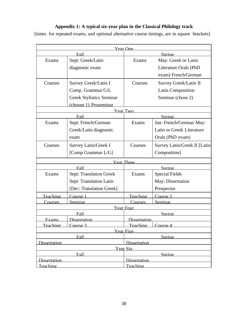## **Appendix 1: A typical six-year plan in the Classical Philology track**

[times for repeated exams, and optional alternative course timings, are in square brackets]

| <b>Year One</b>                                               |                                 |                   |                               |  |  |
|---------------------------------------------------------------|---------------------------------|-------------------|-------------------------------|--|--|
| Fall                                                          |                                 | Spring            |                               |  |  |
| Exams                                                         | Sept: Greek/Latin               | Exams             | May: Greek or Latin           |  |  |
|                                                               | diagnostic exam                 |                   | Literature Orals (PhD         |  |  |
|                                                               |                                 |                   | exam) French/German           |  |  |
| Courses                                                       | Survey Greek/Latin I            | Courses           | Survey Greek/Latin II         |  |  |
|                                                               | Comp. Grammar G/L               |                   | <b>Latin Composition</b>      |  |  |
|                                                               | <b>Greek Stylistics Seminar</b> |                   | Seminar (chose 2)             |  |  |
|                                                               | (choose 1) Proseminar           |                   |                               |  |  |
| Year Two                                                      |                                 |                   |                               |  |  |
|                                                               | Fall                            |                   | Spring                        |  |  |
| Exams                                                         | Sept: French/German             | Exams             | Jan: French/German May:       |  |  |
|                                                               | Greek/Latin diagnostic          |                   | Latin or Greek Literature     |  |  |
|                                                               | exam                            |                   | Orals (PhD exam)              |  |  |
| Courses                                                       | Survey Latin/Greek I            | Courses           | Survey Latin/Greek II [Latin] |  |  |
|                                                               | [Comp Grammar L/G]              |                   | Composition]                  |  |  |
|                                                               |                                 | <b>Year Three</b> |                               |  |  |
|                                                               | Fall                            |                   | Spring                        |  |  |
| Exams                                                         | <b>Sept: Translation Greek</b>  | Exams             | <b>Special Fields</b>         |  |  |
|                                                               | Sept: Translation Latin         |                   | May: Dissertation             |  |  |
|                                                               | [Dec: Translation Greek]        |                   | Prospectus                    |  |  |
| Teaching                                                      | Course 1                        | Teaching          | Course 2                      |  |  |
| <b>Courses</b>                                                | Seminar                         | Courses           | Seminar                       |  |  |
| <b>Year Four</b>                                              |                                 |                   |                               |  |  |
|                                                               | Fall                            |                   | Spring                        |  |  |
| Exams                                                         | Dissertation                    | Dissertation      |                               |  |  |
| Teachino                                                      | $C_{\text{oures}}$ 3            | Teachino          | $C_{\Omega}$ urse $\Lambda$   |  |  |
|                                                               |                                 | <b>Year Five</b>  |                               |  |  |
| Fall                                                          |                                 | Spring            |                               |  |  |
| <b>Dissertation</b><br><b>Dissertation</b><br><b>Year Six</b> |                                 |                   |                               |  |  |
| Fall                                                          |                                 | Spring            |                               |  |  |
| Dissertation                                                  |                                 | Dissertation      |                               |  |  |
| Teaching                                                      |                                 | Teaching          |                               |  |  |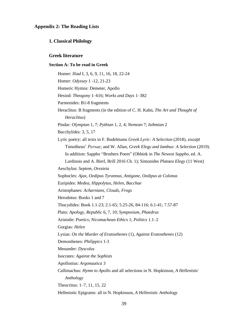#### **Appendix 2: The Reading Lists**

#### **1. Classical Philology**

#### **Greek literature**

#### **Section A: To be read in Greek**

Homer: *Iliad* I, 3, 6, 9, 11, 16, 18, 22-24 Homer: *Odyssey* 1 -12, 21-23 Homeric Hymns: Demeter, Apollo Hesiod: *Theogony* 1–616; *Works and Days* 1–382 Parmenides: B1-8 fragments Heraclitus: B fragments (in the edition of C. H. Kahn, *The Art and Thought of Heraclitus*) Pindar: *Olympian* 1, 7; *Pythian* 1, 2, 4; *Nemean* 7; *Isthmian* 2 Bacchylides: 3, 5, 17 Lyric poetry: all texts in F. Budelmann *Greek Lyric: A Selection* (2018), except Timotheus' *Persae*; and W. Allan, *Greek Elegy and Iambus: A Selection* (2019). In addition: Sappho "Brothers Poem" (Obbink in *The Newest Sappho*, ed. A. Lardinois and A. Bierl, Brill 2016 Ch. 1); Simonides *Plataea Elegy* (11 West) Aeschylus: *Septem*, *Oresteia* Sophocles: *Ajax, Oedipus Tyrannus, Antigone, Oedipus at Colonus*  Euripides: *Medea, Hippolytus, Helen, Bacchae*  Aristophanes: *Acharnians, Clouds, Frogs* Herodotus: Books 1 and 7 Thucydides: Book 1.1-23; 2.1-65; 5.25-26, 84-116; 6.1-41; 7.57-87 Plato: *Apology*, *Republic* 6, 7, 10; *Symposium*, *Phaedrus* Aristotle: *Poetics*; *Nicomachean Ethics* 1; *Politics* 1.1–2 Gorgias: *Helen* Lysias: *On the Murder of Eratosthenes* (1), *Against Eratosthenes* (12) Demosthenes: *Philippics* 1-3 Menander: *Dyscolus* Isocrates: *Against the Sophists* Apollonius: *Argonautica* 3 Callimachus: *Hymn to Apollo* and all selections in N. Hopkinson, *A Hellenistic Anthology* Theocritus: 1–7, 11, 15, 22 Hellenistic Epigrams: all in N. Hopkinson, *A Hellenistic Anthology*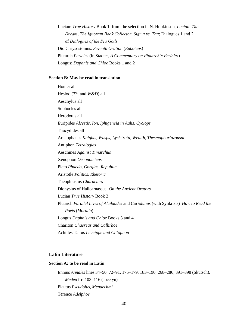Lucian: *True History* Book 1; from the selection in N. Hopkinson, *Lucian*: *The Dream*; *The Ignorant Book Collector*; *Sigma vs. Tau*; Dialogues 1 and 2 of *Dialogues of the Sea Gods* Dio Chrysostomus: *Seventh Oration* (*Euboicus*) Plutarch *Pericles* (in Stadter, *A Commentary on Plutarch's Pericles*) Longus: *Daphnis and Chloe* Books 1 and 2

#### **Section B: May be read in translation**

Homer all Hesiod (*Th*. and *W&D*) all Aeschylus all Sophocles all Herodotus all Euripides *Alcestis, Ion, Iphigeneia in Aulis, Cyclops* Thucydides all Aristophanes *Knights, Wasps, Lysistrata, Wealth, Thesmophoriazousai* Antiphon *Tetralogies* Aeschines *Against Timarchus* Xenophon *Oeconomicus* Plato *Phaedo, Gorgias, Republic* Aristotle *Politics, Rhetoric* Theophrastus *Characters* Dionysius of Halicarnassus: *On the Ancient Orators* Lucian *True History* Book 2 Plutarch *Parallel Lives of Alcibiades* and *Coriolanus* (with Synkrisis) *How to Read the Poets* (*Moralia*) Longus *Daphnis and Chloe* Books 3 and 4 Chariton *Chaereas and Callirhoe* Achilles Tatius *Leucippe and Clitophon* 

### **Latin Literature**

#### **Section A: to be read in Latin**

Ennius *Annales* lines 34–50, 72–91, 175–179, 183–190, 268–286, 391–398 (Skutsch), *Medea* frr. 103–116 (Jocelyn) Plautus *Pseudolus, Menaechmi* Terence *Adelphoe*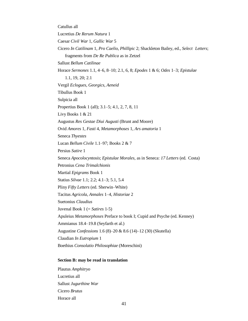Catullus all Lucretius *De Rerum Natura* 1 Caesar *Civil War* 1*, Gallic War* 5 Cicero *In Catilinam* 1, *Pro Caelio*, *Phillipic* 2; Shackleton Bailey, ed., *Select Letters*; fragments from *De Re Publica* as in Zetzel Sallust *Bellum Catilinae* Horace *Sermones* 1.1, 4–6, 8–10; 2.1, 6, 8; *Epodes* 1 & 6; *Odes* 1–3; *Epistulae* 1.1, 19, 20; 2.1 Vergil *Eclogues*, *Georgics*, *Aeneid* Tibullus Book 1 Sulpicia all Propertius Book 1 (all); 3.1–5; 4.1, 2, 7, 8, 11 Livy Books 1 & 21 Augustus *Res Gestae Diui Augusti* (Brunt and Moore) Ovid *Amores* 1, *Fasti* 4, *Metamorphoses* 1, *Ars amatoria* 1 Seneca *Thyestes* Lucan *Bellum Civile* 1.1–97; Books 2 & 7 Persius *Satire* 1 Seneca *Apocolocyntosis*; *Epistulae Morales,* as in Seneca: *17 Letters* (ed. Costa) Petronius *Cena Trimalchionis* Martial *Epigrams* Book 1 Statius *Silvae* 1.1; 2.2; 4.1–3; 5.1, 5.4 Pliny *Fifty Letters* (ed. Sherwin–White) Tacitus *Agricola*, *Annales* 1–4, *Historiae* 2 Suetonius *Claudius*  Juvenal Book 1 (= *Satires* 1‐5) Apuleius *Metamorphoses* Preface to book I; Cupid and Psyche (ed. Kenney) Ammianus 18.4–19.8 (Seyfarth et al.) Augustine *Confessions* 1.6 (8)–20 & 8.6 (14)–12 (30) (Skutella) Claudian *In Eutropium* 1 Boethius *Consolatio Philosophiae* (Moreschini)

#### **Section B: may be read in translation**

Plautus *Amphitryo* Lucretius all Sallust *Jugurthine War* Cicero *Brutus* Horace all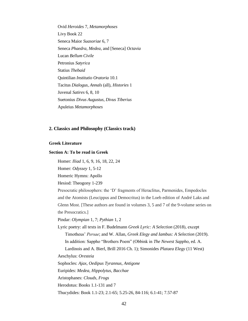Ovid *Heroides* 7, *Metamorphoses* Livy Book 22 Seneca Maior *Suasoriae* 6, 7 Seneca *Phaedra*, *Medea*, and [Seneca] *Octavia* Lucan *Bellum Civile* Petronius *Satyrica* Statius *Thebaid* Quintilian *Institutio Oratoria* 10.1 Tacitus *Dialogus*, *Annals* (all), *Histories* 1 Juvenal *Satires* 6, 8, 10 Suetonius *Divus Augustus, Divus Tiberius* Apuleius *Metamorphoses*

#### **2. Classics and Philosophy (Classics track)**

#### **Greek Literature**

#### **Section A: To be read in Greek**

Homer: *Iliad* 1, 6, 9, 16, 18, 22, 24 Homer: *Odyssey* 1, 5-12 Homeric Hymns: Apollo Hesiod: Theogony 1-239 Presocratic philosophers: the 'D' fragments of Heraclitus, Parmenides, Empedocles and the Atomists (Leucippus and Democritus) in the Loeb edition of André Laks and Glenn Most. [These authors are found in volumes 3, 5 and 7 of the 9-volume series on the Presocratics.] Pindar: *Olympian* 1, 7; *Pythian* 1, 2 Lyric poetry: all texts in F. Budelmann *Greek Lyric: A Selection* (2018), except Timotheus' *Persae*; and W. Allan, *Greek Elegy and Iambus: A Selection* (2019). In addition: Sappho "Brothers Poem" (Obbink in *The Newest Sappho*, ed. A. Lardinois and A. Bierl, Brill 2016 Ch. 1); Simonides *Plataea Elegy* (11 West) Aeschylus: *Oresteia* Sophocles: *Ajax, Oedipus Tyrannus, Antigone*  Euripides: *Medea, Hippolytus, Bacchae*  Aristophanes: *Clouds, Frogs* Herodotus: Books 1.1-131 and 7 Thucydides: Book 1.1-23; 2.1-65; 5.25-26, 84-116; 6.1-41; 7.57-87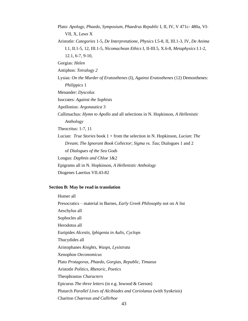Plato: *Apology*, *Phaedo, Symposium*, *Phaedrus Republic* I, II, IV, V 471c- 480a, VI-VII, X, *Laws* X Aristotle: *Categories* 1-5, *De Interpretatione, Physics* I.5-8, II, III.1-3, IV, *De Anima*  I.1, II.1-5, 12, III.1-5, *Nicomachean Ethics* I, II-III.5, X.6-8, *Metaphysics* I.1-2, 12.1, 6-7, 9-10, Gorgias: *Helen* Antiphon: *Tetralogy 2* Lysias: *On the Murder of Eratosthenes* (I), *Against Eratosthenes* (12) Demosthenes: *Philippics* 1 Menander: *Dyscolus* Isocrates: *Against the Sophists* Apollonius: *Argonautica* 3 Callimachus: *Hymn to Apollo* and all selections in N. Hopkinson, *A Hellenistic Anthology* Theocritus: 1-7, 11 Lucian: *True Stories* book 1 + from the selection in N. Hopkinson, *Lucian*: *The Dream*; *The Ignorant Book Collector*; *Sigma vs. Tau*; Dialogues 1 and 2 of *Dialogues of the Sea Gods* Longus: *Daphnis and Chloe* 1&2 Epigrams all in N. Hopkinson, *A Hellenistic Anthology* Diogenes Laertius VII.43-82

#### **Section B: May be read in translation**

Homer all Presocratics – material in Barnes, *Early Greek Philosophy* not on A list Aeschylus all Sophocles all Herodotus all Euripides *Alcestis, Iphigenia in Aulis, Cyclops* Thucydides all Aristophanes *Knights, Wasps, Lysistrata* Xenophon *Oeconomicus* Plato *Protagoras, Phaedo, Gorgias, Republic, Timaeus* Aristotle *Politics, Rhetoric, Poetics* Theophrastus *Characters*  Epicurus *The three letters* (in e.g. Inwood & Gerson) Plutarch *Parallel Lives of Alcibiades and Coriolanus* (with Synkrisis) Chariton *Chaereas and Callirhoe*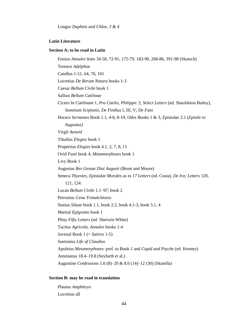#### **Latin Literature**

#### **Section A: to be read in Latin**

Ennius *Annales* lines 34-50, 72-91, 175-79, 183-90, 268-86, 391-98 (Skutsch) Terence *Adelphoe* Catullus 1-51, 64, 76, 101 Lucretius *De Rerum Natura* books 1-3 Caesar *Bellum Civile* book 1 Sallust *Bellum Catilinae* Cicero *In Catilinam* 1, *Pro Caelio, Philippic* 2, *Select Letters* (ed. Shackleton Bailey), *Somnium Scipionis*, *De Finibus* I, III, V; *De Fato* Horace *Sermones* Book 1.1, 4-6, 8-10, *Odes* Books 1 & 3, *Epistulae* 2.1 (*Epistle to Augustus*) Virgil *Aeneid* Tibullus *Elegies* book 1 Propertius *Elegies* book 4.1, 2, 7, 8, 11 Ovid *Fasti* book 4, *Metamorphoses* book 1 Livy Book 1 Augustus *Res Gestae Diui Augusti* (Brunt and Moore) Seneca *Thyestes, Epistulae Morales* as in *17 Letters* (ed. Costa), *De Ira; Letters* 120, 121, 124. Lucan *Bellum Civile* 1.1–97; book 2 Petronius *Cena Trimalchionis* Statius *Siluae* book 1.1, book 2.2, book 4.1-3, book 5.1, 4 Martial *Epigrams* book 1 Pliny *Fifty Letters* (ed. Sherwin-White) Tacitus *Agricola, Annales* books 1-4 Juvenal Book 1 (= *Satires* 1-5) Suetonius *Life of Claudius* Apuleius *Metamorphoses*: pref. to Book 1 and *Cupid and Psyche* (ed. Kenney) Ammianus 18.4–19.8 (Seyfarth et al.) Augustine *Confessions* 1.6 (8)–20 & 8.6 (14)–12 (30) (Skutella)

#### **Section B: may be read in translation**

Plautus *Amphitryo* Lucretius all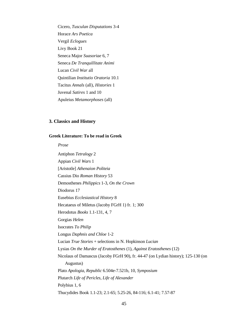Cicero, *Tusculan Disputations* 3-4 Horace *Ars Poetica* Vergil *Eclogues* Livy Book 21 Seneca Major *Suasoriae* 6, 7 Seneca *De Tranquillitate Animi*  Lucan *Civil War* all Quintilian *Institutio Oratoria* 10.1 Tacitus *Annals* (all), *Histories* 1 Juvenal *Satires* 1 and 10 Apuleius *Metamorphoses* (all)

#### **3. Classics and History**

#### **Greek Literature: To be read in Greek**

*Prose*

Antiphon *Tetralogy* 2 Appian *Civil Wars* 1 [Aristotle] *Athenaion Politeia* Cassius Dio *Roman History* 53 Demosthenes *Philippics* 1-3, *On the Crown* Diodorus 17 Eusebius *Ecclesiastical History* 8 Hecataeus of Miletus (Jacoby FGrH 1) fr. 1; 300 Herodotus *Books* 1.1-131, 4, 7 Gorgias *Helen* Isocrates *To Philip* Longus *Daphnis and Chloe* 1-2 Lucian *True Stories* + selections in N. Hopkinson *Lucian* Lysias *On the Murder of Eratosthenes* (1), *Against Eratosthenes* (12) Nicolaus of Damascus (Jacoby FGrH 90), fr. 44-47 (on Lydian history); 125-130 (on Augustus) Plato *Apologia, Republic* 6.504e-7.521b, 10, *Symposium* Plutarch *Life of Pericles, Life of Alexander* Polybius 1, 6 Thucydides Book 1.1-23; 2.1-65; 5.25-26, 84-116; 6.1-41; 7.57-87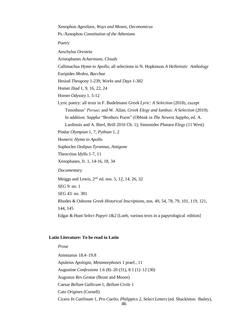Xenophon *Agesilaos, Ways and Means, Oeconomicus* Ps.-Xenophon *Constitution of the Athenians Poetry* Aeschylus *Oresteia* Aristophanes *Acharnians, Clouds* Callimachus *Hymn to Apollo*; all selections in N. Hopkinson *A Hellenistic Anthology* Euripides *Medea, Bacchae* Hesiod *Theogony* 1-239, *Works and Days* 1-382 Homer *Iliad* 1, 9, 16, 22, 24 Homer *Odyssey* 1, 5-12 Lyric poetry: all texts in F. Budelmann *Greek Lyric: A Selection* (2018), except Timotheus' *Persae*; and W. Allan, *Greek Elegy and Iambus: A Selection* (2019). In addition: Sappho "Brothers Poem" (Obbink in *The Newest Sappho*, ed. A. Lardinois and A. Bierl, Brill 2016 Ch. 1); Simonides *Plataea Elegy* (11 West) Pindar *Olympian* 1, 7; *Pythian* 1, 2 *Homeric Hymn to Apollo* Sophocles *Oedipus Tyrannus, Antigone* Theocritus Idylls 1-7, 11 Xenophanes, fr. 1, 14-16, 18, 34 *Documentary* Meiggs and Lewis,  $2<sup>nd</sup>$  ed. nos. 5, 12, 14, 26, 32 *SEG* 9: no. 1 *SEG* 43: no. 381 Rhodes & Osborne *Greek Historical Inscriptions*, nos. 49, 54, 78, 79, 101, 119, 121, 144, 145 Edgar & Hunt *Select Papyri* 1&2 [Loeb, various texts in a papyrological edition]

#### **Latin Literature: To be read in Latin**

46 *Prose* Ammianus 18.4–19.8 Apuleius *Apologia*, *Metamorphoses* 1 praef., 11 Augustine *Confessions* 1.6 (8)–20 (31), 8.1 (1)–12 (30) Augustus *Res Gestae* (Brunt and Moore) Caesar *Bellum Gallicum* 1; *Bellum Civile* 1 Cato *Origines* (Cornell) Cicero *In Catilinam* 1, *Pro Caelio*, *Philippics* 2, *Select Letters* (ed. Shackleton Bailey),